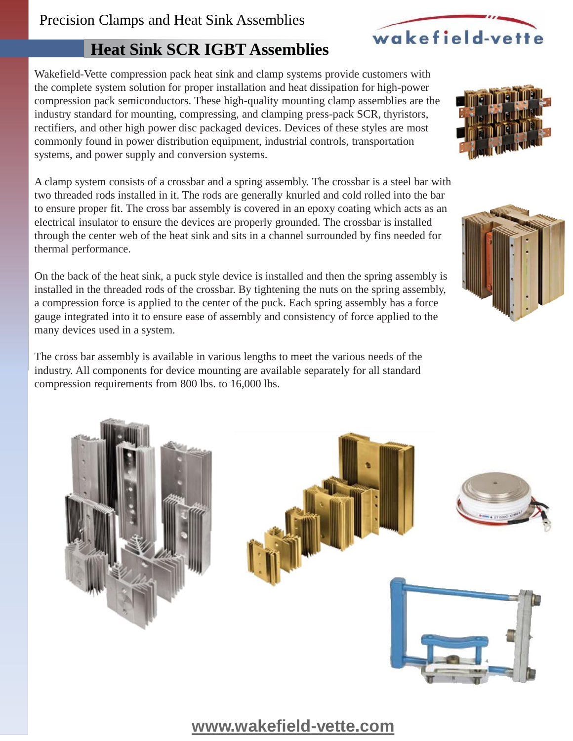# Precision Clamps and Heat Sink Assemblies

# **Heat Sink SCR IGBT Assemblies**

Wakefield-Vette compression pack heat sink and clamp systems provide customers with the complete system solution for proper installation and heat dissipation for high-power compression pack semiconductors. These high-quality mounting clamp assemblies are the industry standard for mounting, compressing, and clamping press-pack SCR, thyristors, rectifiers, and other high power disc packaged devices. Devices of these styles are most commonly found in power distribution equipment, industrial controls, transportation systems, and power supply and conversion systems.

A clamp system consists of a crossbar and a spring assembly. The crossbar is a steel bar with two threaded rods installed in it. The rods are generally knurled and cold rolled into the bar to ensure proper fit. The cross bar assembly is covered in an epoxy coating which acts as an electrical insulator to ensure the devices are properly grounded. The crossbar is installed through the center web of the heat sink and sits in a channel surrounded by fins needed for thermal performance.

On the back of the heat sink, a puck style device is installed and then the spring assembly is installed in the threaded rods of the crossbar. By tightening the nuts on the spring assembly, a compression force is applied to the center of the puck. Each spring assembly has a force gauge integrated into it to ensure ease of assembly and consistency of force applied to the many devices used in a system.

The cross bar assembly is available in various lengths to meet the various needs of the industry. All components for device mounting are available separately for all standard compression requirements from 800 lbs. to 16,000 lbs.









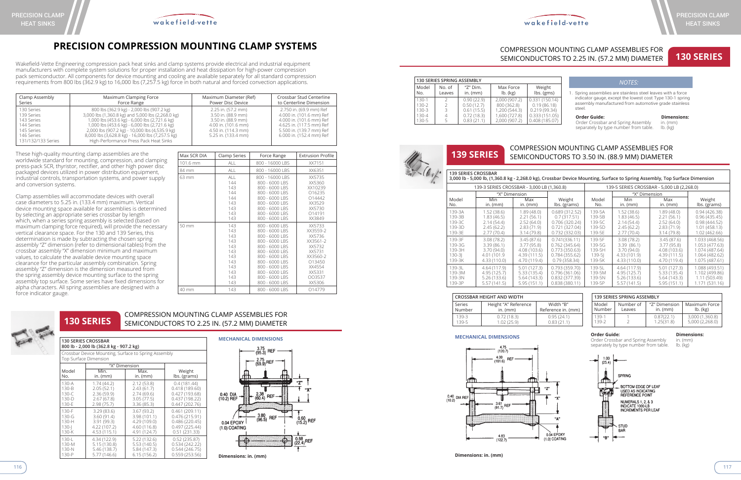**Dimensions: in. (mm)**



# **PRECISION COMPRESSION MOUNTING CLAMP SYSTEMS**



Wakefield-Vette Engineering compression pack heat sinks and clamp systems provide electrical and industrial equipment manufacturers with complete system solutions for proper installation and heat dissipation for high-power compression pack semiconductor. All components for device mounting and cooling are available separately for all standard compression requirements from 800 lbs (362.9 kg) to 16,000 lbs (7,257.5 kg) force in both natural and forced convection applications.

These high-quality mounting clamp assemblies are the worldwide standard for mounting, compression, and clamping press-pack SCR, thyristor, rectifier, and other high power disc packaged devices utilized in power distribution equipment, industrial controls, transportation systems, and power supply and conversion systems.

Clamp assemblies will accommodate devices with overall case diameters to 5.25 in. (133.4 mm) maximum. Vertical device mounting space available for assemblies is determined by selecting an appropriate series crossbar by length which, when a series spring assembly is selected (based on maximum clamping force required), will provide the necessary vertical clearance space. For the 130 and 139 Series, this determination is made by subtracting the chosen spring assembly "Z" dimension (refer to dimensional tables) from the crossbar assembly "X" dimension minimum and maximum values, to calculate the available device mounting space clearance for the particular assembly combination. Spring assembly "Z" dimension is the dimension measured from the spring assembly device mounting surface to the spring assembly top surface. Some series have fixed dimensions for alpha characters. All spring assemblies are designed with a force indicator gauge.

### **130 SERIES CROSSBAR 800 lb - 2,000 lb (362.8 kg - 907.2 kg)** Crossbar Device Mounting, Surface to Spring Assembly Top Surface Dimension

|           | "X" Dimension  |              |                |
|-----------|----------------|--------------|----------------|
| Model     | Min.           | Max.         | Weight         |
| No.       | $in.$ ( $mm$ ) | $in.$ (mm)   | lbs. (grams)   |
| $130 - A$ | 1.74(44.2)     | 2.12(53.8)   | 0.4(181.44)    |
| $130-B$   | 2.05(52.1)     | 2.43(61.7)   | 0.418(189.60)  |
| 130-C     | 2.36(59.9)     | 2.74(69.6)   | 0.427 (193.68) |
| 130-D     | 2.67(67.8)     | 3.05(77.5)   | 0.437(198.22)  |
| 130-E     | 2.98(75.7)     | 3.36(85.3)   | 0.447(202.76)  |
| $130-F$   | 3.29(83.6)     | 3.67(93.2)   | 0.461(209.11)  |
| 130-G     | 3.60(91.4)     | 3.98 (101.1) | 0.476(215.91)  |
| 130-H     | 3.91(99.3)     | 4.29 (109.0) | 0.486(220.45)  |
| $130 - 1$ | 4.22 (107.2)   | 4.60 (116.8) | 0.497(225.44)  |
| 130-K     | 4.53 (115.1)   | 4.91 (124.7) | 0.51(231.33)   |
| 130-1     | 4.34 (122.9)   | 5.22 (132.6) | 0.52(235.87)   |
| 130-M     | 5.15(130.8)    | 5.53 (140.5) | 0.534(242.22)  |
| 130-N     | 5.46 (138.7)   | 5.84 (147.3) | 0.544(246.75)  |
| 130-P     | 5.77 (146.6)   | 6.15(156.2)  | 0.559(253.56)  |

### **130 SERIES** COMPRESSION MOUNTING CLAMP ASSEMBLIES FOR SEMICONDUCTORS TO 2.25 IN. (57.2 MM) DIAMETER



**139 SERIES CROSSBAR** 

### **3,000 lb - 5,000 lb, (1,360.8 kg - 2,268.0 kg), Crossbar Device Mounting, Surface to Spring Assembly, Top Surface Dimension**

Order Crossbar and Spring Assembly in. (mm) separately by type number from table.



|              | 139-3 SERIES CROSSBAR - 3,000 LB (1,360.8) |                   | 139-5 SERIES CROSSBAR - 5,000 LB (2,268.0) |              |                                    |                   |                        |
|--------------|--------------------------------------------|-------------------|--------------------------------------------|--------------|------------------------------------|-------------------|------------------------|
| Model<br>No. | "X" Dimension<br>Min<br>in. $(mm)$         | Max<br>in. $(mm)$ | Weight<br>lbs. (grams)                     | Model<br>No. | "X" Dimension<br>Min<br>in. $(mm)$ | Max<br>in. $(mm)$ | Weight<br>lbs. (grams) |
| 139-3A       | 1.52(38.6)                                 | 1.89(48.0)        | 0.689(312.52)                              | 139-5A       | 1.52(38.6)                         | 1.89(48.0)        | 0.94(426.38)           |
| 139-3B       | 1.83 (46.5)                                | 2.21(56.1)        | 0.7(317.51)                                | 139-5B       | 1.83(46.5)                         | 2.21(56.1)        | 0.96(435.45)           |
| 139-3C       | 2.14(54.4)                                 | 2.52(64.0)        | 0.706 (320.24)                             | 139-5C       | 2.14(54.4)                         | 2.52(64.0)        | 0.98(444.52)           |
| 139-3D       | 2.45(62.2)                                 | 2.83(71.9)        | 0.721(327.04)                              | 139-5D       | 2.45(62.2)                         | 2.83(71.9)        | 1.01 (458.13)          |
| 139-3E       | 2.77 (70.4)                                | 3.14(79.8)        | 0.732(332.03)                              | 139-5E       | 2.77 (70.4)                        | 3.14(79.8)        | 1.02 (462.66)          |
| 139-3F       | 3.08(78.2)                                 | 3.45(87.6)        | 0.741(336.11)                              | 139-5F       | 3.08(78.2)                         | 3.45(87.6)        | 1.033 (468.56)         |
| 139-3G       | 3.39 (86.1)                                | 3.77(95.8)        | 0.762(345.64)                              | 139-5G       | 3.39 (86.1)                        | 3.77(95.8)        | 1.053 (477.63)         |
| 139-3H       | 3.70(94.0)                                 | 4.08 (103.6)      | 0.773(350.63)                              | 139-5H       | 3.70(94.0)                         | 4.08 (103.6)      | 1.074 (487.64)         |
| $130 - 31$   | 4.01 (101.9                                | 4.39(111.5)       | 0.784(355.62)                              | $139-51$     | 4.33 (101.9)                       | 4.39 (111.5)      | 1.064 (482.62)         |
| 139-3K       | 4.33 (110.0)                               | 4.70 (119.4)      | 0.79(358.34)                               | 139-5K       | 4.33 (110.0)                       | 4.70 (119.4)      | 1.075 (487.61)         |
| 139-31       | 4.64 (117.9)                               | 5.01(127.3)       | 0.793(359.70)                              | 139-51       | 4.64 (117.9)                       | 5.01(127.3)       | 1.088 (493.51)         |
| 139-3M       | 4.95 (125.7)                               | 5.33(135.4)       | 0.796(361.06)                              | 139-5M       | 4.95 (125.7)                       | 5.33 (135.4)      | 1.102 (499.86)         |
| 139-3N       | 5.26(133.6)                                | 5.64(143.3)       | 0.832(377.39)                              | 139-5N       | 5.26 (133.6)                       | 5.64 (143.3)      | 1.11 (503.49)          |
| 139-3P       | 5.57(141.5)                                | 5.95(151.1)       | 0.838(380.11)                              | 139-5P       | 5.57(141.5)                        | 5.95(151.1)       | 1.171 (531.16)         |

| 139 SERIES SPRING ASSEMBLY |           |                |                 |  |  |
|----------------------------|-----------|----------------|-----------------|--|--|
| Model                      | Number of | "Z" Dimension  | Maximum Force   |  |  |
| Number                     | Leaves    | $in.$ ( $mm$ ) | $lb.$ ( $kg$ )  |  |  |
| 139-1                      |           | 0.87(22.1)     | 3,000 (1,360.8) |  |  |
| 139-2                      |           | 1.25(31.8)     | 5,000 (2,268.0) |  |  |

| <b>CROSSBAR HEIGHT AND WIDTH</b> |                      |                    |  |  |  |
|----------------------------------|----------------------|--------------------|--|--|--|
| Series                           | Height "A" Reference | Width "B"          |  |  |  |
| Number                           | in. $(mm)$           | Reference in. (mm) |  |  |  |
| 139-3                            | 0.72(18.3)           | 0.95(24.1)         |  |  |  |
| 139-5                            | 1.02(25.9)           | 0.83(21.1)         |  |  |  |

 $``A"$ 

0.04 EPOXY

## **MECHANICAL DIMENSIONS Consumer Guide: Order Guide: Dimensions: Dimensions:** Order Crossbar and Spring Assembly in (mm)



# **130 SERIES**



| Max SCR DIA | Clamp Series                                                                     | Force Range                                                                                                                                                                                                          | <b>Extrusion Profile</b>                                                                                                   |
|-------------|----------------------------------------------------------------------------------|----------------------------------------------------------------------------------------------------------------------------------------------------------------------------------------------------------------------|----------------------------------------------------------------------------------------------------------------------------|
| 101.6 mm    | <b>ALL</b>                                                                       | 800 - 16000 LBS                                                                                                                                                                                                      | XX7151                                                                                                                     |
| 84 mm       | <b>ALL</b>                                                                       | 800 - 16000 LBS                                                                                                                                                                                                      | XX6351                                                                                                                     |
| 63 mm       | ALL<br>144<br>143<br>144<br>144<br>143<br>143<br>143<br>143                      | 800 - 16000 LBS<br>800 - 6000 LBS<br>800 - 6000 LBS<br>800 - 6000 LBS<br>800 - 6000 LBS<br>800 - 6000 LBS<br>800 - 6000 LBS<br>800 - 6000 LBS<br>800 - 6000 LBS                                                      | XX5735<br>XX5360<br>XX10239<br>016235<br>014442<br>XX3529<br>XX5730<br>014191<br>XX3849                                    |
| 50 mm       | 143<br>143<br>143<br>143<br>143<br>143<br>143<br>143<br>143<br>143<br>143<br>143 | 800 - 6000 LBS<br>800 - 6000 LBS<br>800 - 6000 LBS<br>800 - 6000 LBS<br>800 - 6000 LBS<br>800 - 6000 LBS<br>800 - 6000 LBS<br>800 - 6000 LBS<br>800 - 6000 LBS<br>800 - 6000 LBS<br>800 - 6000 LBS<br>800 - 6000 LBS | XX5733<br>XX3559-2<br>XX5736<br>XX3561-2<br>XX5732<br>XX5731<br>XX3560-2<br>013450<br>XX4554<br>XX5331<br>003537<br>XX5306 |
| 40 mm       | 143                                                                              | 800 - 6000 LBS                                                                                                                                                                                                       | 014779                                                                                                                     |

| <b>130 SERIES SPRING ASSEMBLY</b> |                  |                                |                         |                                         |
|-----------------------------------|------------------|--------------------------------|-------------------------|-----------------------------------------|
| Model<br>No.                      | No. of<br>Leaves | " $Z$ " Dim.<br>$in.$ ( $mm$ ) | Max Force<br>$lb.$ (kg) | Weight<br>$\mathsf{lbs.}(\mathsf{gms})$ |
| $130-1$                           |                  | 0.90(22.9)                     | 2,000 (907.2)           | 0.331(150.14)                           |
| $130-2$                           |                  | 0.50(12.7)                     | 800 (362.8)             | 0.19(86.18)                             |
| $130-3$                           | ς                | 0.61(15.5)                     | 1,200 (544.3)           | 0.219(99.34)                            |
| 130-4                             |                  | 0.72(18.3)                     | 1,600 (727.8)           | 0.333(151.05)                           |
| 130-5                             |                  | 0.83(21.1)                     | 2.000 (907.2)           | 0.408(185.07)                           |

1. Spring assemblies are stainless steel leaves with a force indicator gauge, except the lowest cost Type 130-1 spring assembly manufactured from automotive grade stainless steel.

**Order Guide: Dimensions: Order Crossbar and Spring Assembly in. (mm)** Order Crossbar and Spring Assembly separately by type number from table. Ib. (kg)

## *NOTES:*



## COMPRESSION MOUNTING CLAMP ASSEMBLIES FOR SEMICONDUCTORS TO 3.50 IN. (88.9 MM) DIAMETER

# COMPRESSION MOUNTING CLAMP ASSEMBLIES FOR SEMICONDUCTORS TO 2.25 IN. (57.2 MM) DIAMETER

| Clamp Assembly<br>Maximum Clamping Force<br>Series<br>Force Range                                      |                                                                                                                                                                                                                                                                                                                                                  | Maximum Diameter (Ref)<br>Power Disc Device                                                                                         | Crossbar Stud Centerline<br>to Centerline Dimension                                                                                                                 |
|--------------------------------------------------------------------------------------------------------|--------------------------------------------------------------------------------------------------------------------------------------------------------------------------------------------------------------------------------------------------------------------------------------------------------------------------------------------------|-------------------------------------------------------------------------------------------------------------------------------------|---------------------------------------------------------------------------------------------------------------------------------------------------------------------|
| 130 Series<br>139 Series<br>143 Series<br>144 Series<br>145 Series<br>146 Series<br>131/132/133 Series | 800 lbs (362.9 kg) - 2,000 lbs (907.2 kg)<br>3,000 lbs (1,360.8 kg) and 5,000 lbs (2,268.0 kg)<br>1,000 lbs (453.6 kg) - 6,000 lbs (2,721.6 kg)<br>1,000 lbs (453.6 kg) - 6,000 lbs (2,721.6 kg)<br>2,000 lbs (907.2 kg) - 10,000 lbs (4,535.9 kg)<br>8,000 lbs (3,628.8 kg) - 16,000 lbs (7,257.5 kg)<br>High-Performance Press Pack Heat Sinks | 2.25 in. (57.2 mm)<br>3.50 in. (88.9 mm)<br>3.50 in. (88.9 mm)<br>4.00 in. (101.6 mm)<br>4.50 in. (114.3 mm)<br>5.25 in. (133.4 mm) | 2.750 in. (69.9 mm) Ref<br>4.000 in. (101.6 mm) Ref<br>4.000 in. (101.6 mm) Ref<br>4.625 in. (117.5 mm) Ref<br>5.500 in. (139.7 mm) Ref<br>6.000 in. (152.4 mm) Ref |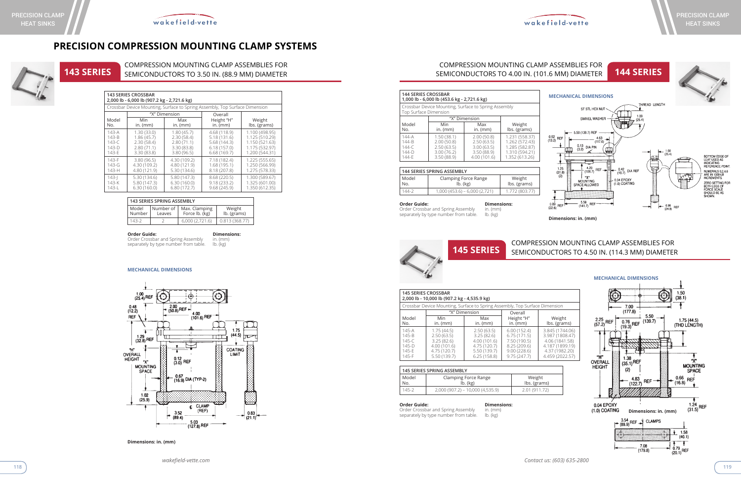# **PRECISION COMPRESSION MOUNTING CLAMP SYSTEMS**





**143 SERIES** COMPRESSION MOUNTING CLAMP ASSEMBLIES FOR SEMICONDUCTORS TO 3.50 IN. (88.9 MM) DIAMETER **144 SERIES** SEMICONDUCTORS TO 4.00 IN. (101.6 MM) DIAMETER

# COMPRESSION MOUNTING CLAMP ASSEMBLIES FOR

| <b>143 SERIES SPRING ASSEMBLY</b>      |  |                                 |                       |  |  |
|----------------------------------------|--|---------------------------------|-----------------------|--|--|
| Number of<br>Model<br>Number<br>Leaves |  | Max. Clamping<br>Force lb. (kg) | Weight<br>lb. (grams) |  |  |
| 143-2                                  |  | 6,000(2,721.6)                  | 0.813(368.77)         |  |  |

**Order Guide: Dimensions:** Order Crossbar and Spring Assembly in. (mm) Order Crossbar and Spring Assembly in. (mm) separately by type number from table.

> Order Crossbar and Spring Assembly in. (mm) separately by type number from table.

### **143 SERIES CROSSBAR 2,000 lb - 6,000 lb (907.2 kg - 2,721.6 kg)**

### **MECHANICAL DIMENSIONS**



**Dimensions: in. (mm)**

| Crossbar Device Mounting, Surface to Spring Assembly, Top Surface Dimension |                   |                   |                          |                        |  |  |  |
|-----------------------------------------------------------------------------|-------------------|-------------------|--------------------------|------------------------|--|--|--|
|                                                                             |                   | "X" Dimension     | Overall                  |                        |  |  |  |
| Model<br>No.                                                                | Min<br>$in.$ (mm) | Max<br>$in.$ (mm) | Height "H"<br>$in.$ (mm) | Weight<br>lbs. (grams) |  |  |  |
|                                                                             |                   |                   |                          |                        |  |  |  |
| $143-A$                                                                     | 1.30(33.0)        | 1.80(45.7)        | 4.68 (118.9)             | 1.100 (498.95)         |  |  |  |
| $143 - B$                                                                   | 1.86(45.7)        | 2.30(58.4)        | 5.18(131.6)              | 1.125 (510.29)         |  |  |  |
| 143-C                                                                       | 2.30(58.4)        | 2.80(71.1)        | 5.68 (144.3)             | 1.150 (521.63)         |  |  |  |
| $143-D$                                                                     | 2.80(71.1)        | 3.30(83.8)        | 6.18(157.0)              | 1.175 (532.97)         |  |  |  |
| 143-E                                                                       | 3.30(83.8)        | 3.80(96.5)        | 6.68(169.7)              | 1.200 (544.31)         |  |  |  |
| $143-F$                                                                     | 3.80(96.5)        | 4.30 (109.2)      | 7.18 (182.4)             | 1.225 (555.65)         |  |  |  |
| $143 - G$                                                                   | 4.30 (109.2)      | 4.80 (121.9)      | 1.68(195.1)              | 1.250 (566.99)         |  |  |  |
| $143-H$                                                                     | 4.80 (121.9)      | 5.30 (134.6)      | 8.18 (207.8)             | 1.275 (578.33)         |  |  |  |
| $143 -$                                                                     | 5.30 (134.6)      | 5.80 (147.3)      | 8.68 (220.5)             | 1.300 (589.67)         |  |  |  |
| $143-K$                                                                     | 5.80 (147.3)      | 6.30(160.0)       | 9.18(233.2)              | 1.325 (601.00)         |  |  |  |
| $143 - L$                                                                   | 6.30(160.0)       | 6.80(172.7)       | 9.68(245.9)              | 1.350 (612.35)         |  |  |  |
|                                                                             |                   |                   |                          |                        |  |  |  |

|                                                        | <b>144 SERIES SPRING ASSEMBLY</b> |                        |  |  |  |
|--------------------------------------------------------|-----------------------------------|------------------------|--|--|--|
| Model<br>Clamping Force Range<br>$lb.$ ( $kg$ )<br>No. |                                   | Weight<br>lbs. (grams) |  |  |  |
| 144-2                                                  | $1,000(453.6) - 6,000(2,721)$     | 1.772 (803.77)         |  |  |  |

**Order Guide: Dimensions:** Order Crossbar and Spring Assembly in. (mm) Order Crossbar and Spring Assembly in. (mm) separately by type number from table.





BOTTOM EDGE OF<br>LEAF USED AS<br>INDICATING<br>REFERENCE POINT. NUMERALS 0,2,4,6<br>ARE IN 1000-LB<br>INCREMENTS. ZERO SETTING FOR<br>BOTH LEGS OF<br>FORCE SCALE SHOULD BE AS

**Dimensions: in. (mm)**

MOUNTING<br>MOUNTING<br>SPACE ALLOWED

 $-$  5.58<br>(141.7) REF

 $\frac{1}{2}$ 

 $0.89$ <br>(22.6) REF

### **Order Guide: Dimensions:**

## **145 SERIES CROSSBAR**

**2,000 lb - 10,000 lb (907.2 kg - 4,535.9 kg)**

| <b>144 SERIES CROSSBAR</b><br>1,000 lb - 6,000 lb (453.6 kg - 2,721.6 kg)     |                                                                    |                                                                      |                                                                                        |  |
|-------------------------------------------------------------------------------|--------------------------------------------------------------------|----------------------------------------------------------------------|----------------------------------------------------------------------------------------|--|
| Crossbar Device Mounting, Surface to Spring Assembly<br>Top Surface Dimension |                                                                    |                                                                      |                                                                                        |  |
|                                                                               | "X" Dimension                                                      |                                                                      |                                                                                        |  |
| Model<br>No.                                                                  | Min<br>$in.$ ( $mm$ )                                              | Max<br>$in.$ ( $mm$ )                                                | Weight<br>lbs. (grams)                                                                 |  |
| $144 - A$<br>144-B<br>$144 - C$<br>$144-D$<br>144-F                           | 1.50(38.1)<br>2.00(50.8)<br>2.50(63.5)<br>3.00(76.2)<br>3.50(88.9) | 2.00(50.8)<br>2.50(63.5)<br>3.00(63.5)<br>3.50(88.9)<br>4.00 (101.6) | 1.231 (558.37)<br>1.262 (572.43)<br>1.285 (582.87)<br>1.310 (594.21)<br>1.352 (613.26) |  |

|           | Crossbar Device Mounting, Surface to Spring Assembly, Top Surface Dimension |                          |                |                 |
|-----------|-----------------------------------------------------------------------------|--------------------------|----------------|-----------------|
|           |                                                                             | "X" Dimension<br>Overall |                |                 |
| Model     | Min                                                                         | Max                      | Height "H"     | Weight          |
| No.       | $in.$ ( $mm$ )                                                              | in. $(mm)$               | $in.$ ( $mm$ ) | lbs. (grams)    |
| $145-A$   | 1.75(44.5)                                                                  | 2.50(63.5)               | 6.00(152.4)    | 3.845 (1744.06) |
| $145 - B$ | 2.50(63.5)                                                                  | 3.25(82.6)               | 6.75(171.5)    | 3.987 (1808.47) |
| $145 - C$ | 3.25(82.6)                                                                  | 4.00(101.6)              | 7.50 (190.5)   | 4.06 (1841.58)  |
| $145 - D$ | 4.00 (101.6)                                                                | 4.75 (120.7)             | 8.25(209.6)    | 4.187 (1899.19) |
| $145-F$   | 4.75 (120.7)                                                                | 5.50 (139.7)             | 9.00(228.6)    | 4.37 (1982.20)  |
| 145-F     | 5.50 (139.7)                                                                | 6.25(158.8)              | 9.75(247.7)    | 4.459 (2022.57) |

|              | <b>145 SERIES SPRING ASSEMBLY</b>      |                        |
|--------------|----------------------------------------|------------------------|
| Model<br>No. | Clamping Force Range<br>$lb.$ ( $kg$ ) | Weight<br>lbs. (grams) |
| 145-2        | $2,000(907.2) - 10,000(4,535.9)$       | 2.01 (911.72)          |





## COMPRESSION MOUNTING CLAMP ASSEMBLIES FOR SEMICONDUCTORS TO 4.50 IN. (114.3 MM) DIAMETER

 $-$  0.04 EPOXY<br>(1.0) COATING

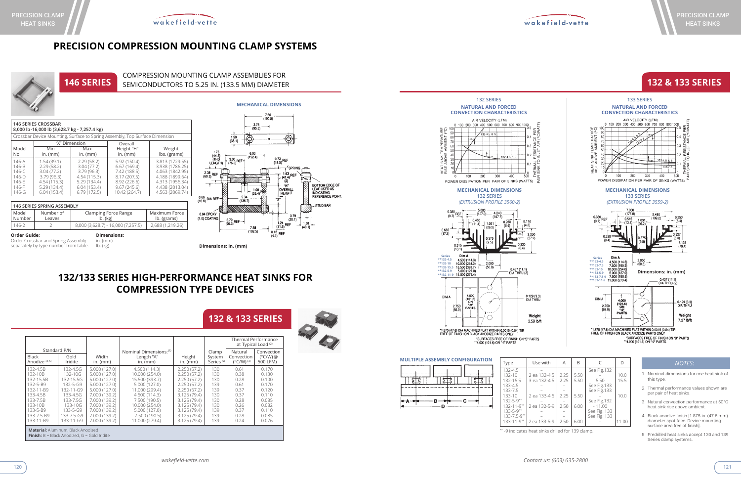**MULTIPLE ASSEMBLY CONFIGURATION** |註3 ||註 「缸」

 $\cdot c$ 

B



| ith         | A    | B    | $\subset$    | D     |
|-------------|------|------|--------------|-------|
|             |      |      | See Fig.132  |       |
| $2 - 4.5$   | 2.25 | 5.50 |              | 10.0  |
| $2 - 4.5$   | 2.25 | 5.50 | 5.50         | 15.5  |
|             |      |      | See Fig.133  |       |
|             |      |      | See Fig.133  |       |
| $3 - 4.5$   | 2.25 | 5.50 |              | 10.0  |
|             |      |      | See Fig.132  |       |
| $2 - 5 - 9$ | 2.50 | 6.00 | $-11.00$     |       |
|             |      |      | See Fig. 133 |       |
|             |      |      | See Fig. 133 |       |
| $3 - 5 - 9$ | 2.50 | 6.00 |              | 11.00 |
|             |      |      |              |       |

\*\* -9 indicates heat sinks drilled for 139 clamp.

# **132/133 SERIES HIGH-PERFORMANCE HEAT SINKS FOR COMPRESSION TYPE DEVICES**

|                                                                                                                                     |                                                                                                                                     |                                                                                                                                                                                        |                                                                                                                                                                                              |                                                                                                                                                                    |                                                                           | at Typical Load <sup>(2)</sup>                                                       | <b>Thermal Performance</b>                                                                      |
|-------------------------------------------------------------------------------------------------------------------------------------|-------------------------------------------------------------------------------------------------------------------------------------|----------------------------------------------------------------------------------------------------------------------------------------------------------------------------------------|----------------------------------------------------------------------------------------------------------------------------------------------------------------------------------------------|--------------------------------------------------------------------------------------------------------------------------------------------------------------------|---------------------------------------------------------------------------|--------------------------------------------------------------------------------------|-------------------------------------------------------------------------------------------------|
| Standard P/N<br><b>Black</b><br>Anodize <sup>(4, 5)</sup>                                                                           | Gold<br>Iridite                                                                                                                     | Width<br>in. $(mm)$                                                                                                                                                                    | Nominal Dimensions: <sup>(1)</sup><br>Length "A"<br>$in.$ (mm)                                                                                                                               | Height<br>in. $(mm)$                                                                                                                                               | Clamp<br>System<br>Series <sup>(5)</sup>                                  | Natural<br>Convection<br>$(^{\circ}$ C/W) $^{(3)}$                                   | Convection<br>$(^{\circ}$ C/W) $@$<br>500 LFM)                                                  |
| 132-4.5B<br>132-10B<br>132-15.5B<br>132-5-B9<br>132-11-B9<br>133-4.5B<br>133-7.5B<br>133-10B<br>133-5-B9<br>133-7.5-B9<br>133-11-B9 | 132-4.5G<br>132-10G<br>132-15.5G<br>132-5-G9<br>132-11-G9<br>133-4.5G<br>133-7.5G<br>133-10G<br>133-5-G9<br>133-7.5-G9<br>133-11-G9 | 5.000(127.0)<br>5.000 (127.0)<br>5.000 (127.0)<br>5.000 (127.0)<br>5.000 (127.0)<br>7.000 (139.2)<br>7.000 (139.2)<br>7.000 (139.2)<br>7.000 (139.2)<br>7.000 (139.2)<br>7.000 (139.2) | 4.500 (114.3)<br>10.000 (254.0)<br>15.500 (393.7)<br>5.000 (127.0)<br>11.000 (299.4)<br>4.500 (114.3)<br>7.500 (190.5)<br>10.000 (254.0)<br>5.000 (127.0)<br>7.500 (190.5)<br>11.000 (279.4) | 2.250(57.2)<br>2.250(57.2)<br>2.250(57.2)<br>2.250(57.2)<br>2.250(57.2)<br>3.125(79.4)<br>3.125(79.4)<br>3.125 (79.4)<br>3.125(79.4)<br>3.125(79.4)<br>3.125(79.4) | 130<br>130<br>130<br>139<br>139<br>130<br>130<br>130<br>139<br>139<br>139 | 0.61<br>0.38<br>0.28<br>0.61<br>0.37<br>0.37<br>0.28<br>0.26<br>0.37<br>0.28<br>0.24 | 0.170<br>0.130<br>0.100<br>0.170<br>0.120<br>0.110<br>0.085<br>0.082<br>0.110<br>0.085<br>0.076 |
|                                                                                                                                     | <b>Material:</b> Aluminum, Black Anodized<br><b>Finish:</b> $B = Black$ Anodized, $G = Gold$ Iridite                                |                                                                                                                                                                                        |                                                                                                                                                                                              |                                                                                                                                                                    |                                                                           |                                                                                      |                                                                                                 |

Order Crossbar and Spring Assembly in. (mm) separately by type number from table. Ib. (kg)

 $\frac{3.75}{(95.3)}$   $\longrightarrow$  $\overline{\bigcirc}$  $\begin{array}{c} 1.50 \\ (38.1) \end{array}$  $\circledcirc$ 1.75<br>(44.3)<br>(THD<br>LENGTH  $(152.4)$  $* \frac{3.00}{(76.2)}$ REF- $\frac{0.73}{(18.5)}$ REF  $\frac{1}{2}$  $\overline{r}$ <sup>'</sup>SPRINC  $^{2.38}_{(60.5)}$  REF  $(41.4)$  REF<br>(41.4)<br>(2) BOTTOM EDGE OF<br>LEAF USED AS<br>INDICATING<br>REFERENCE POINT. OVERALL  $\frac{1.00}{(25.4)}$  Ref. **HEIGHT**  $5.34$ <br>(136.7)  $\frac{0.66}{(16.8)}$  DIA REF "Y" **STUD BAR** 0.04 FPOXY  $\begin{array}{c} 0.79 \\ (20.1) \end{array}$  $(1.0)$  COATING  $\frac{3.79}{(96.3)}$  REF  $1.24$ <br>(31.5) REF  $\left| \begin{array}{c} 1.58 \\ -4.58 \end{array} \right|$  $7.58$  $(192.5)$  $\frac{1}{(4.1)}$  REF

- 1. Nominal dimensions for one heat sink of this type.
- 2. Thermal performance values shown are per pair of heat sinks.
- 3. Natural convection performance at 50°C heat sink rise above ambient.
- 4. Black anodize finish [1.875 in. (47.6 mm) diameter spot face. Device mounting surface area free of finish].
- 5. Predrilled heat sinks accept 130 and 139 Series clamp systems.

### *NOTES:*

# **132 & 133 SERIES**

**132 & 133 SERIES**



SINK<br>AON



**NATURAL AND FORCED CONVECTION CHARACTERISTICS**

AIR VELOCITY (LFM)

0 100 200 300 400 500 600 700 800 900 1000

 $\overline{300}$ 

 $\overline{200}$ 

POWER DISSIPATION PER PAIR OF SINKS (WATTS)

100

 $400$ 

부동

THERM<br>3 SINK

 $\frac{1}{500}$ 

**132 SERIES**

# **PRECISION COMPRESSION MOUNTING CLAMP SYSTEMS**



### **MECHANICAL DIMENSIONS**

 $(190.5)$ 

### **Dimensions: in. (mm)**

| <b>146 SERIES CROSSBAR</b><br>8,000 lb-16,000 lb (3,628.7 kg - 7,257.4 kg)    |                                                                                                    |                                                                                                     |                                                                                                             |                                                                                                                                   |  |  |
|-------------------------------------------------------------------------------|----------------------------------------------------------------------------------------------------|-----------------------------------------------------------------------------------------------------|-------------------------------------------------------------------------------------------------------------|-----------------------------------------------------------------------------------------------------------------------------------|--|--|
|                                                                               |                                                                                                    |                                                                                                     | Crossbar Device Mounting, Surface to Spring Assembly, Top Surface Dimension                                 |                                                                                                                                   |  |  |
|                                                                               |                                                                                                    | "X" Dimension                                                                                       | Overall                                                                                                     |                                                                                                                                   |  |  |
| Model<br>No.                                                                  | Min<br>$in.$ ( $mm$ )                                                                              | Max<br>$in.$ ( $mm$ )                                                                               | Height "H"<br>$in.$ (mm)                                                                                    | Weight<br>lbs. (grams)                                                                                                            |  |  |
| $146 - A$<br>$146 - B$<br>$146 - C$<br>$146 - D$<br>146-E<br>$146-F$<br>146-G | 1.54(39.1)<br>2.29(58.2)<br>3.04(77.2)<br>3.79(96.3)<br>4.54 (115.3)<br>5.29(134.4)<br>6.04(153.4) | 2.29(58.2)<br>3.04(77.2)<br>3.79(96.3)<br>4.54 (115.3)<br>5.29(134.4)<br>6.04(153.4)<br>6.79(172.5) | 5.92 (150.4)<br>6.67(169.4)<br>7.42 (188.5)<br>8.17 (207.5)<br>8.92 (226.6)<br>9.67(245.6)<br>10.42 (264.7) | 3.813 (1729.55)<br>3.938 (1786.25)<br>4.063 (1842.95)<br>4.188 (1899.64)<br>4.313 (1956.34)<br>4.438 (2013.04)<br>4.563 (2069.74) |  |  |

| 146 SERIES SPRING ASSEMBLY                |                     |                                        |                              |  |
|-------------------------------------------|---------------------|----------------------------------------|------------------------------|--|
| Model<br>Number                           | Number of<br>Leaves | Clamping Force Range<br>$lb.$ ( $kg$ ) | Maximum Force<br>lb. (grams) |  |
| 146-2                                     |                     | 8,000 (3,628.7) - 16,000 (7,257.5)     | 2,688 (1,219.26)             |  |
| <b>Order Guide:</b><br><b>Dimensions:</b> |                     |                                        |                              |  |

### **146 SERIES** COMPRESSION MOUNTING CLAMP ASSEMBLIES FOR SEMICONDUCTORS TO 5.25 IN. (133.5 MM) DIAMETER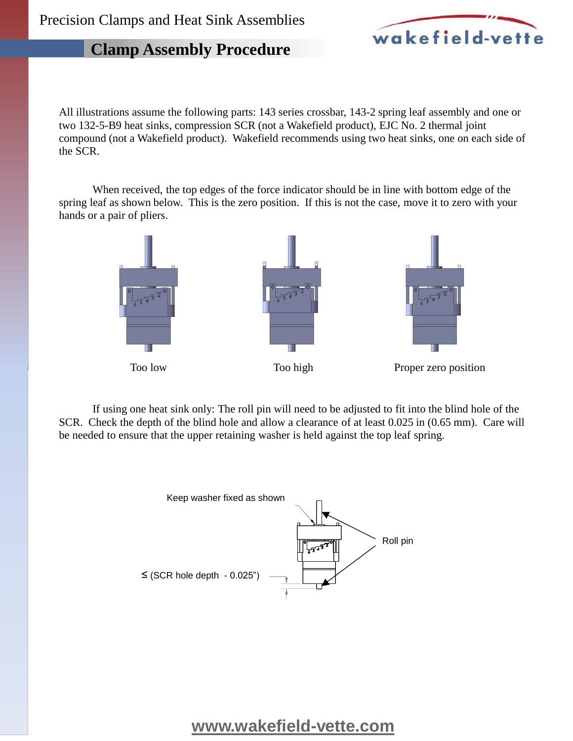# wakefield-vette

# **Clamp Assembly Procedure**

All illustrations assume the following parts: 143 series crossbar, 143-2 spring leaf assembly and one or two 132-5-B9 heat sinks, compression SCR (not a Wakefield product), EJC No. 2 thermal joint compound (not a Wakefield product). Wakefield recommends using two heat sinks, one on each side of the SCR.

When received, the top edges of the force indicator should be in line with bottom edge of the spring leaf as shown below. This is the zero position. If this is not the case, move it to zero with your hands or a pair of pliers.



If using one heat sink only: The roll pin will need to be adjusted to fit into the blind hole of the SCR. Check the depth of the blind hole and allow a clearance of at least 0.025 in (0.65 mm). Care will be needed to ensure that the upper retaining washer is held against the top leaf spring.



**[www.wakefield-vette.com](http://www.wakefield-vette.com)**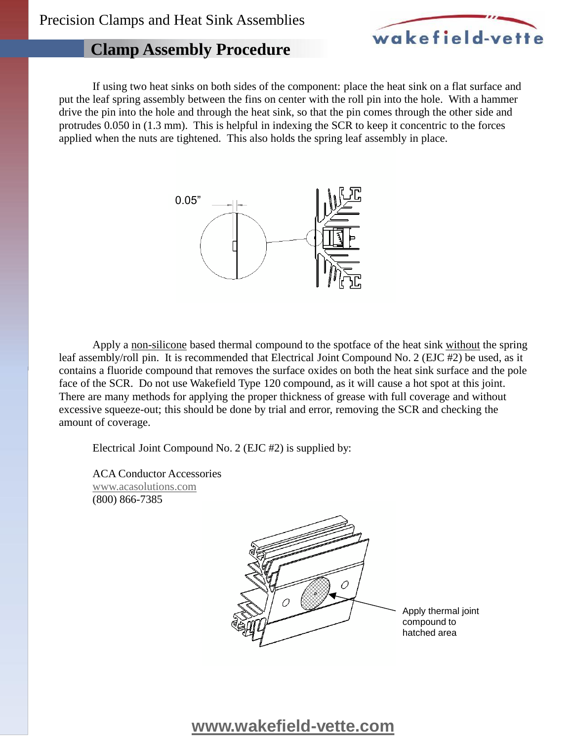

# **Clamp Assembly Procedure**

If using two heat sinks on both sides of the component: place the heat sink on a flat surface and put the leaf spring assembly between the fins on center with the roll pin into the hole. With a hammer drive the pin into the hole and through the heat sink, so that the pin comes through the other side and protrudes 0.050 in (1.3 mm). This is helpful in indexing the SCR to keep it concentric to the forces applied when the nuts are tightened. This also holds the spring leaf assembly in place.



Apply a non-silicone based thermal compound to the spotface of the heat sink without the spring leaf assembly/roll pin. It is recommended that Electrical Joint Compound No. 2 (EJC #2) be used, as it contains a fluoride compound that removes the surface oxides on both the heat sink surface and the pole face of the SCR. Do not use Wakefield Type 120 compound, as it will cause a hot spot at this joint. There are many methods for applying the proper thickness of grease with full coverage and without excessive squeeze-out; this should be done by trial and error, removing the SCR and checking the amount of coverage.

Electrical Joint Compound No. 2 (EJC #2) is supplied by:

ACA Conductor Accessories [www.acasolutions.com](http://www.acasolutions.com) (800) 866-7385



Apply thermal joint compound to hatched area

# **[www.wakefield-vette.com](http://www.wakefield-vette.com)**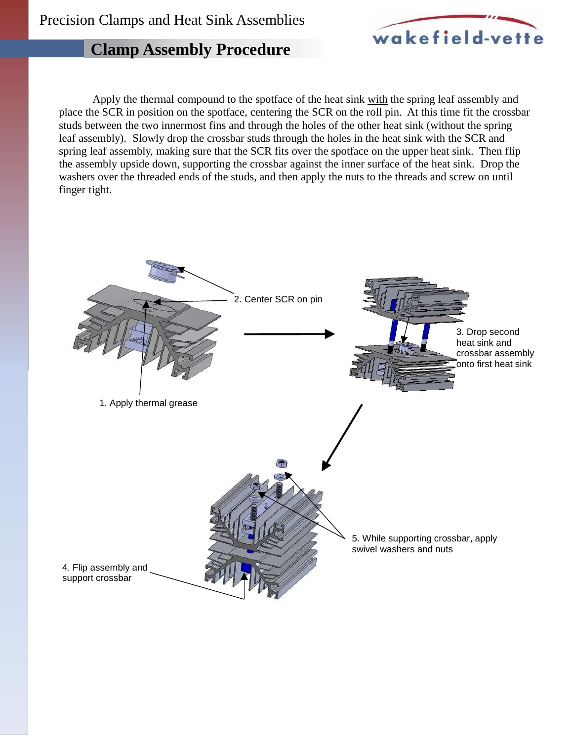

# **Clamp Assembly Procedure**

Apply the thermal compound to the spotface of the heat sink with the spring leaf assembly and place the SCR in position on the spotface, centering the SCR on the roll pin. At this time fit the crossbar studs between the two innermost fins and through the holes of the other heat sink (without the spring leaf assembly). Slowly drop the crossbar studs through the holes in the heat sink with the SCR and spring leaf assembly, making sure that the SCR fits over the spotface on the upper heat sink. Then flip the assembly upside down, supporting the crossbar against the inner surface of the heat sink. Drop the washers over the threaded ends of the studs, and then apply the nuts to the threads and screw on until finger tight.